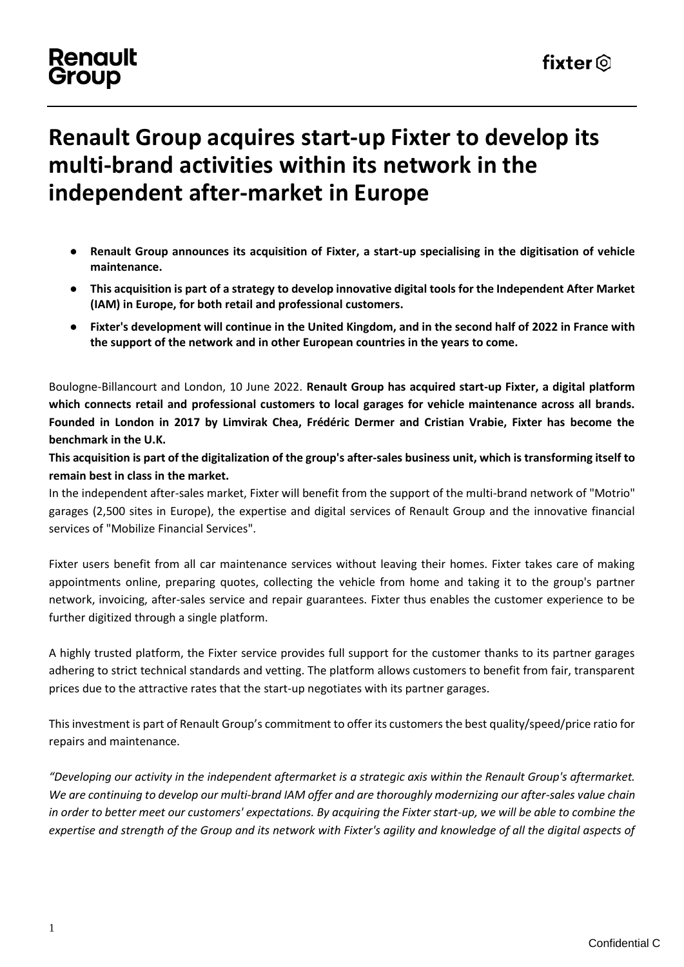### **Renault** Group

# **Renault Group acquires start-up Fixter to develop its multi-brand activities within its network in the independent after-market in Europe**

- **Renault Group announces its acquisition of Fixter, a start-up specialising in the digitisation of vehicle maintenance.**
- **This acquisition is part of a strategy to develop innovative digital tools for the Independent After Market (IAM) in Europe, for both retail and professional customers.**
- **Fixter's development will continue in the United Kingdom, and in the second half of 2022 in France with the support of the network and in other European countries in the years to come.**

Boulogne-Billancourt and London, 10 June 2022. **Renault Group has acquired start-up Fixter, a digital platform which connects retail and professional customers to local garages for vehicle maintenance across all brands. Founded in London in 2017 by Limvirak Chea, Frédéric Dermer and Cristian Vrabie, Fixter has become the benchmark in the U.K.**

**This acquisition is part of the digitalization of the group's after-sales business unit, which is transforming itself to remain best in class in the market.**

In the independent after-sales market, Fixter will benefit from the support of the multi-brand network of "Motrio" garages (2,500 sites in Europe), the expertise and digital services of Renault Group and the innovative financial services of "Mobilize Financial Services".

Fixter users benefit from all car maintenance services without leaving their homes. Fixter takes care of making appointments online, preparing quotes, collecting the vehicle from home and taking it to the group's partner network, invoicing, after-sales service and repair guarantees. Fixter thus enables the customer experience to be further digitized through a single platform.

A highly trusted platform, the Fixter service provides full support for the customer thanks to its partner garages adhering to strict technical standards and vetting. The platform allows customers to benefit from fair, transparent prices due to the attractive rates that the start-up negotiates with its partner garages.

This investment is part of Renault Group's commitment to offer its customers the best quality/speed/price ratio for repairs and maintenance.

*"Developing our activity in the independent aftermarket is a strategic axis within the Renault Group's aftermarket. We are continuing to develop our multi-brand IAM offer and are thoroughly modernizing our after-sales value chain in order to better meet our customers' expectations. By acquiring the Fixter start-up, we will be able to combine the expertise and strength of the Group and its network with Fixter's agility and knowledge of all the digital aspects of*